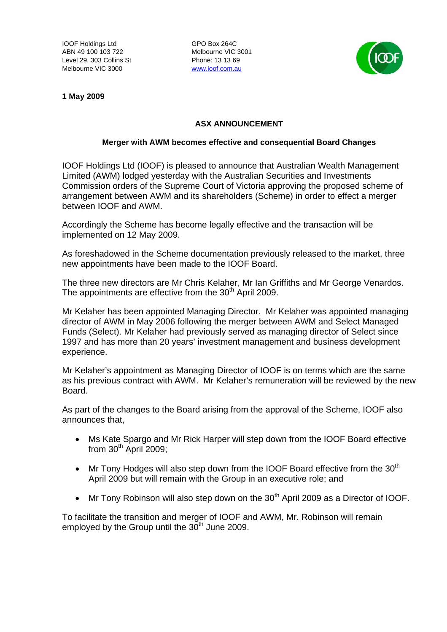IOOF Holdings Ltd GPO Box 264C ABN 49 100 103 722 Melbourne VIC 3001 Level 29, 303 Collins St Phone: 13 13 69 Melbourne VIC 3000 www.ioof.com.au



**1 May 2009** 

## **ASX ANNOUNCEMENT**

## **Merger with AWM becomes effective and consequential Board Changes**

IOOF Holdings Ltd (IOOF) is pleased to announce that Australian Wealth Management Limited (AWM) lodged yesterday with the Australian Securities and Investments Commission orders of the Supreme Court of Victoria approving the proposed scheme of arrangement between AWM and its shareholders (Scheme) in order to effect a merger between IOOF and AWM.

Accordingly the Scheme has become legally effective and the transaction will be implemented on 12 May 2009.

As foreshadowed in the Scheme documentation previously released to the market, three new appointments have been made to the IOOF Board.

The three new directors are Mr Chris Kelaher, Mr Ian Griffiths and Mr George Venardos. The appointments are effective from the 30<sup>th</sup> April 2009.

Mr Kelaher has been appointed Managing Director. Mr Kelaher was appointed managing director of AWM in May 2006 following the merger between AWM and Select Managed Funds (Select). Mr Kelaher had previously served as managing director of Select since 1997 and has more than 20 years' investment management and business development experience.

Mr Kelaher's appointment as Managing Director of IOOF is on terms which are the same as his previous contract with AWM. Mr Kelaher's remuneration will be reviewed by the new Board.

As part of the changes to the Board arising from the approval of the Scheme, IOOF also announces that,

- Ms Kate Spargo and Mr Rick Harper will step down from the IOOF Board effective from  $30<sup>th</sup>$  April 2009;
- $\bullet$  Mr Tony Hodges will also step down from the IOOF Board effective from the 30<sup>th</sup> April 2009 but will remain with the Group in an executive role; and
- Mr Tony Robinson will also step down on the  $30<sup>th</sup>$  April 2009 as a Director of IOOF.

To facilitate the transition and merger of IOOF and AWM, Mr. Robinson will remain employed by the Group until the  $30<sup>th</sup>$  June 2009.